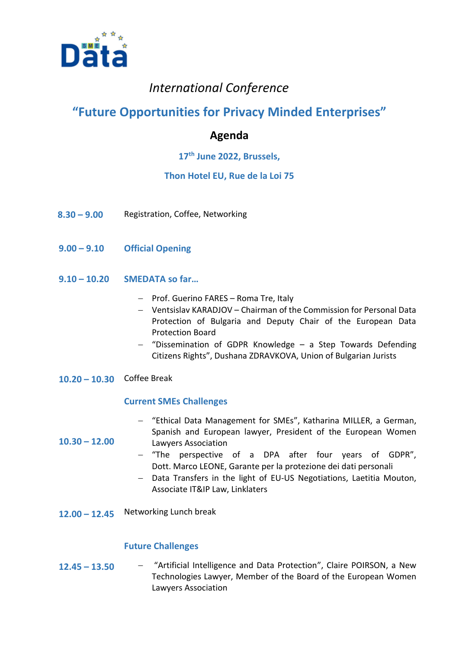

# *International Conference*

# **"Future Opportunities for Privacy Minded Enterprises"**

## **Agenda**

### **17th June 2022, Brussels,**

### **Thon Hotel EU, Rue de la Loi 75**

- **8.30 – 9.00** Registration, Coffee, Networking
- **9.00 – 9.10 Official Opening**
- **9.10 – 10.20 SMEDATA so far…**
	- Prof. Guerino FARES Roma Tre, Italy
	- Ventsislav KARADJOV Chairman of the Commission for Personal Data Protection of Bulgaria and Deputy Chair of the European Data Protection Board
	- "Dissemination of GDPR Knowledge a Step Towards Defending Citizens Rights", Dushana ZDRAVKOVA, Union of Bulgarian Jurists
- **10.20 – 10.30** Coffee Break

**10.30 – 12.00**

#### **Current SMEs Challenges**

- "Ethical Data Management for SMEs", Katharina MILLER, a German, Spanish and European lawyer, President of the European Women Lawyers Association
- "The perspective of a DPA after four years of GDPR", Dott. Marco LEONE, Garante per la protezione dei dati personali
- Data Transfers in the light of EU-US Negotiations, Laetitia Mouton, Associate IT&IP Law, Linklaters
- **12.00 – 12.45** Networking Lunch break

#### **Future Challenges**

**12.45 – 13.50** "Artificial Intelligence and Data Protection", Claire POIRSON, a New Technologies Lawyer, Member of the Board of the European Women Lawyers Association